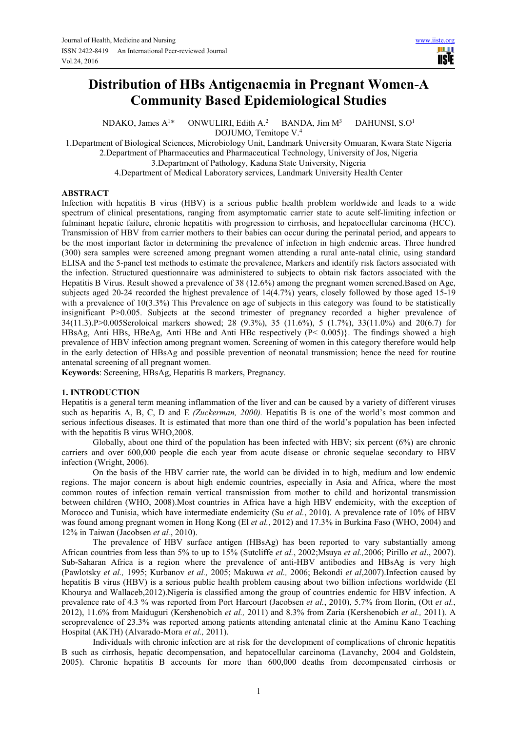# **Distribution of HBs Antigenaemia in Pregnant Women-A Community Based Epidemiological Studies**

NDAKO, James  $A^{1*}$  ONWULIRI, Edith  $A^{2}$ BANDA, Jim  $M<sup>3</sup>$ DAHUNSI, S.O<sup>1</sup> DOJUMO, Temitope V.<sup>4</sup>

1.Department of Biological Sciences, Microbiology Unit, Landmark University Omuaran, Kwara State Nigeria 2.Department of Pharmaceutics and Pharmaceutical Technology, University of Jos, Nigeria

3.Department of Pathology, Kaduna State University, Nigeria

4.Department of Medical Laboratory services, Landmark University Health Center

### **ABSTRACT**

Infection with hepatitis B virus (HBV) is a serious public health problem worldwide and leads to a wide spectrum of clinical presentations, ranging from asymptomatic carrier state to acute self-limiting infection or fulminant hepatic failure, chronic hepatitis with progression to cirrhosis, and hepatocellular carcinoma (HCC). Transmission of HBV from carrier mothers to their babies can occur during the perinatal period, and appears to be the most important factor in determining the prevalence of infection in high endemic areas. Three hundred (300) sera samples were screened among pregnant women attending a rural ante-natal clinic, using standard ELISA and the 5-panel test methods to estimate the prevalence, Markers and identify risk factors associated with the infection. Structured questionnaire was administered to subjects to obtain risk factors associated with the Hepatitis B Virus. Result showed a prevalence of 38 (12.6%) among the pregnant women screned.Based on Age, subjects aged 20-24 recorded the highest prevalence of 14(4.7%) years, closely followed by those aged 15-19 with a prevalence of 10(3.3%) This Prevalence on age of subjects in this category was found to be statistically insignificant P>0.005. Subjects at the second trimester of pregnancy recorded a higher prevalence of 34(11.3).P>0.005Seroloical markers showed; 28 (9.3%), 35 (11.6%), 5 (1.7%), 33(11.0%) and 20(6.7) for HBsAg, Anti HBs, HBeAg, Anti HBe and Anti HBc respectively (P< 0.005)}. The findings showed a high prevalence of HBV infection among pregnant women. Screening of women in this category therefore would help in the early detection of HBsAg and possible prevention of neonatal transmission; hence the need for routine antenatal screening of all pregnant women.

**Keywords**: Screening, HBsAg, Hepatitis B markers, Pregnancy.

### **1. INTRODUCTION**

Hepatitis is a general term meaning inflammation of the liver and can be caused by a variety of different viruses such as hepatitis A, B, C, D and E *(Zuckerman, 2000).* Hepatitis B is one of the world's most common and serious infectious diseases. It is estimated that more than one third of the world's population has been infected with the hepatitis B virus WHO,2008.

 Globally, about one third of the population has been infected with HBV; six percent (6%) are chronic carriers and over 600,000 people die each year from acute disease or chronic sequelae secondary to HBV infection (Wright, 2006).

 On the basis of the HBV carrier rate, the world can be divided in to high, medium and low endemic regions. The major concern is about high endemic countries, especially in Asia and Africa, where the most common routes of infection remain vertical transmission from mother to child and horizontal transmission between children (WHO, 2008).Most countries in Africa have a high HBV endemicity, with the exception of Morocco and Tunisia, which have intermediate endemicity (Su *et al.*, 2010). A prevalence rate of 10% of HBV was found among pregnant women in Hong Kong (El *et al.*, 2012) and 17.3% in Burkina Faso (WHO, 2004) and 12% in Taiwan (Jacobsen *et al.*, 2010).

 The prevalence of HBV surface antigen (HBsAg) has been reported to vary substantially among African countries from less than 5% to up to 15% (Sutcliffe *et al.*, 2002;Msuya *et al.,*2006; Pirillo *et al*., 2007). Sub-Saharan Africa is a region where the prevalence of anti-HBV antibodies and HBsAg is very high (Pawlotsky *et al.,* 1995; Kurbanov *et al.,* 2005; Makuwa *et al.,* 2006; Bekondi *et al*,2007).Infection caused by hepatitis B virus (HBV) is a serious public health problem causing about two billion infections worldwide (El Khourya and Wallaceb,2012).Nigeria is classified among the group of countries endemic for HBV infection. A prevalence rate of 4.3 % was reported from Port Harcourt (Jacobsen *et al.*, 2010), 5.7% from Ilorin, (Ott *et al.*, 2012), 11.6% from Maiduguri (Kershenobich *et al.,* 2011) and 8.3% from Zaria (Kershenobich *et al.,* 2011). A seroprevalence of 23.3% was reported among patients attending antenatal clinic at the Aminu Kano Teaching Hospital (AKTH) (Alvarado-Mora *et al.,* 2011).

 Individuals with chronic infection are at risk for the development of complications of chronic hepatitis B such as cirrhosis, hepatic decompensation, and hepatocellular carcinoma (Lavanchy, 2004 and Goldstein, 2005). Chronic hepatitis B accounts for more than 600,000 deaths from decompensated cirrhosis or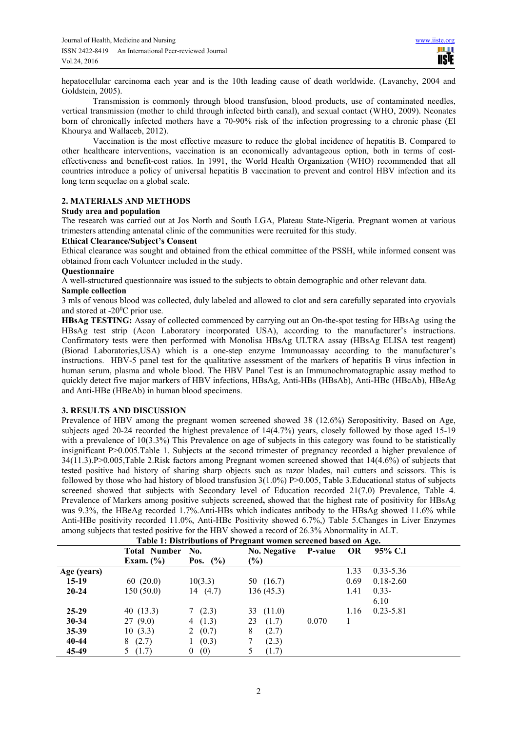hepatocellular carcinoma each year and is the 10th leading cause of death worldwide. (Lavanchy, 2004 and Goldstein, 2005).

 Transmission is commonly through blood transfusion, blood products, use of contaminated needles, vertical transmission (mother to child through infected birth canal), and sexual contact (WHO, 2009). Neonates born of chronically infected mothers have a 70-90% risk of the infection progressing to a chronic phase (El Khourya and Wallaceb, 2012).

 Vaccination is the most effective measure to reduce the global incidence of hepatitis B. Compared to other healthcare interventions, vaccination is an economically advantageous option, both in terms of costeffectiveness and benefit-cost ratios. In 1991, the World Health Organization (WHO) recommended that all countries introduce a policy of universal hepatitis B vaccination to prevent and control HBV infection and its long term sequelae on a global scale.

### **2. MATERIALS AND METHODS**

### **Study area and population**

The research was carried out at Jos North and South LGA, Plateau State-Nigeria. Pregnant women at various trimesters attending antenatal clinic of the communities were recruited for this study.

### **Ethical Clearance/Subject's Consent**

Ethical clearance was sought and obtained from the ethical committee of the PSSH, while informed consent was obtained from each Volunteer included in the study.

## **Questionnaire**

A well-structured questionnaire was issued to the subjects to obtain demographic and other relevant data.

# **Sample collection**

3 mls of venous blood was collected, duly labeled and allowed to clot and sera carefully separated into cryovials and stored at -20<sup>0</sup>C prior use.

**HBsAg TESTING:** Assay of collected commenced by carrying out an On-the-spot testing for HBsAg using the HBsAg test strip (Acon Laboratory incorporated USA), according to the manufacturer's instructions. Confirmatory tests were then performed with Monolisa HBsAg ULTRA assay (HBsAg ELISA test reagent) (Biorad Laboratories,USA) which is a one-step enzyme Immunoassay according to the manufacturer's instructions. HBV-5 panel test for the qualitative assessment of the markers of hepatitis B virus infection in human serum, plasma and whole blood. The HBV Panel Test is an Immunochromatographic assay method to quickly detect five major markers of HBV infections, HBsAg, Anti-HBs (HBsAb), Anti-HBc (HBcAb), HBeAg and Anti-HBe (HBeAb) in human blood specimens.

### **3. RESULTS AND DISCUSSION**

Prevalence of HBV among the pregnant women screened showed 38 (12.6%) Seropositivity. Based on Age, subjects aged 20-24 recorded the highest prevalence of 14(4.7%) years, closely followed by those aged 15-19 with a prevalence of 10(3.3%) This Prevalence on age of subjects in this category was found to be statistically insignificant P>0.005.Table 1. Subjects at the second trimester of pregnancy recorded a higher prevalence of 34(11.3).P>0.005,Table 2.Risk factors among Pregnant women screened showed that 14(4.6%) of subjects that tested positive had history of sharing sharp objects such as razor blades, nail cutters and scissors. This is followed by those who had history of blood transfusion 3(1.0%) P>0.005, Table 3.Educational status of subjects screened showed that subjects with Secondary level of Education recorded 21(7.0) Prevalence, Table 4. Prevalence of Markers among positive subjects screened**,** showed that the highest rate of positivity for HBsAg was 9.3%, the HBeAg recorded 1.7%.Anti-HBs which indicates antibody to the HBsAg showed 11.6% while Anti-HBe positivity recorded 11.0%, Anti-HBc Positivity showed 6.7%,) Table 5.Changes in Liver Enzymes among subjects that tested positive for the HBV showed a record of 26.3% Abnormality in ALT.

| Table 1; Distributions of Freghant women screened based on Age. |                       |                     |       |                |               |  |  |
|-----------------------------------------------------------------|-----------------------|---------------------|-------|----------------|---------------|--|--|
|                                                                 |                       | <b>No. Negative</b> |       | OR             | 95% C.I       |  |  |
| Exam. $(\% )$                                                   | Pos. $(%)$            | $(\%)$              |       |                |               |  |  |
|                                                                 |                       |                     |       | 1.33           | $0.33 - 5.36$ |  |  |
| 60(20.0)                                                        | 10(3.3)               | 50 $(16.7)$         |       | 0.69           | $0.18 - 2.60$ |  |  |
| 150 (50.0)                                                      | 14 $(4.7)$            | 136(45.3)           |       | 1.41           | $0.33 -$      |  |  |
|                                                                 |                       |                     |       |                | 6.10          |  |  |
| 40 $(13.3)$                                                     | 7(2.3)                | 33 $(11.0)$         |       | 1.16           | $0.23 - 5.81$ |  |  |
| 27(9.0)                                                         | 4 $(1.3)$             | (1.7)<br>23         | 0.070 |                |               |  |  |
| 10(3.3)                                                         | 2 $(0.7)$             | 8<br>(2.7)          |       |                |               |  |  |
| (2.7)<br>8                                                      | (0.3)                 | (2.3)               |       |                |               |  |  |
| 5(1.7)                                                          | 0 <sup>1</sup><br>(0) | (1.7)               |       |                |               |  |  |
|                                                                 |                       | Total Number No.    |       | <b>P-value</b> |               |  |  |

**Table 1: Distributions of Pregnant women screened based on Age.**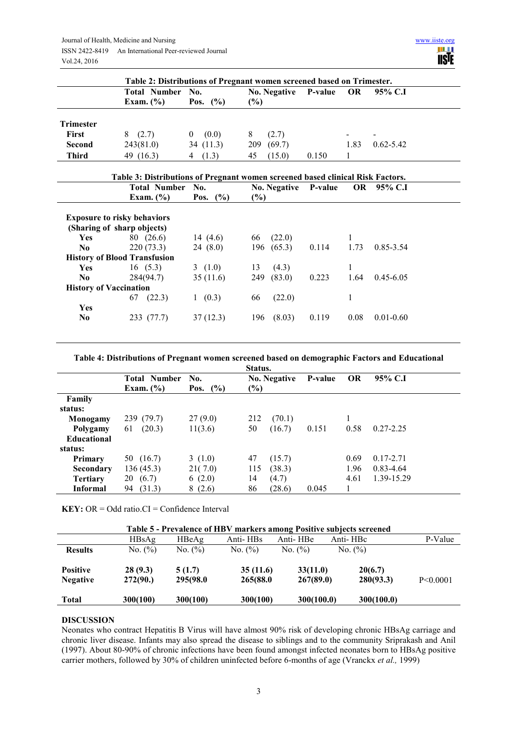

|                  | Table 2: Distributions of Pregnant women screened based on Trimester. |                   |                             |       |                          |                          |  |
|------------------|-----------------------------------------------------------------------|-------------------|-----------------------------|-------|--------------------------|--------------------------|--|
|                  | <b>Total Number</b><br>No.<br>Exam. $(\% )$<br>$($ %)<br>Pos.         |                   | No. Negative P-value<br>(%) |       | - OR                     | 95% C.I                  |  |
| <b>Trimester</b> |                                                                       |                   |                             |       |                          |                          |  |
| <b>First</b>     | (2.7)<br>8                                                            | (0.0)<br>$\theta$ | (2.7)<br>8                  |       | $\overline{\phantom{0}}$ | $\overline{\phantom{a}}$ |  |
| Second           | 243(81.0)                                                             | 34(11.3)          | (69.7)<br>209               |       | 1.83                     | $0.62 - 5.42$            |  |
| <b>Third</b>     | 49 (16.3)                                                             | (1.3)<br>4        | (15.0)<br>45                | 0.150 |                          |                          |  |

|                               | Table 3: Distributions of Pregnant women screened based clinical Risk Factors. |                   |                                |       |      |               |
|-------------------------------|--------------------------------------------------------------------------------|-------------------|--------------------------------|-------|------|---------------|
|                               | <b>Total Number</b><br>Exam. $(\% )$                                           | No.<br>Pos. $(%)$ | No. Negative P-value<br>$(\%)$ |       |      | OR 95% C.I    |
|                               | <b>Exposure to risky behaviors</b>                                             |                   |                                |       |      |               |
|                               | (Sharing of sharp objects)                                                     |                   |                                |       |      |               |
| <b>Yes</b>                    | 80 (26.6)                                                                      | 14 $(4.6)$        | (22.0)<br>66                   |       |      |               |
| No.                           | 220(73.3)                                                                      | 24(8.0)           | (65.3)<br>196                  | 0.114 | 1.73 | 0.85-3.54     |
|                               | <b>History of Blood Transfusion</b>                                            |                   |                                |       |      |               |
| <b>Yes</b>                    | 16(5.3)                                                                        | 3(1.0)            | 13<br>(4.3)                    |       | 1    |               |
| No.                           | 284(94.7)                                                                      | 35(11.6)          | 249<br>(83.0)                  | 0.223 | 1.64 | $0.45 - 6.05$ |
| <b>History of Vaccination</b> |                                                                                |                   |                                |       |      |               |
|                               | (22.3)<br>67                                                                   | (0.3)             | (22.0)<br>66                   |       |      |               |
| Yes                           |                                                                                |                   |                                |       |      |               |
| No.                           | 233 (77.7)                                                                     | 37(12.3)          | (8.03)<br>196                  | 0.119 | 0.08 | $0.01 - 0.60$ |
|                               |                                                                                |                   |                                |       |      |               |

### **Table 4: Distributions of Pregnant women screened based on demographic Factors and Educational**

| Status.            |                                      |                       |                               |         |           |               |  |  |
|--------------------|--------------------------------------|-----------------------|-------------------------------|---------|-----------|---------------|--|--|
|                    | <b>Total Number</b><br>Exam. $(\% )$ | No.<br>$($ %)<br>Pos. | <b>No. Negative</b><br>$(\%)$ | P-value | <b>OR</b> | 95% C.I       |  |  |
| Family             |                                      |                       |                               |         |           |               |  |  |
| status:            |                                      |                       |                               |         |           |               |  |  |
| Monogamy           | 239 (79.7)                           | 27(9.0)               | 212<br>(70.1)                 |         |           |               |  |  |
| Polygamy           | (20.3)<br>61                         | 11(3.6)               | 50<br>(16.7)                  | 0.151   | 0.58      | $0.27 - 2.25$ |  |  |
| <b>Educational</b> |                                      |                       |                               |         |           |               |  |  |
| status:            |                                      |                       |                               |         |           |               |  |  |
| Primary            | 50 (16.7)                            | 3(1.0)                | 47<br>(15.7)                  |         | 0.69      | $0.17 - 2.71$ |  |  |
| Secondary          | 136(45.3)                            | 21(7.0)               | (38.3)<br>115                 |         | 1.96      | 0.83-4.64     |  |  |
| <b>Tertiary</b>    | (6.7)<br>20                          | 6(2.0)                | 14<br>(4.7)                   |         | 4.61      | 1.39-15.29    |  |  |
| <b>Informal</b>    | (31.3)<br>94                         | 8(2.6)                | 86<br>(28.6)                  | 0.045   |           |               |  |  |

**KEY:**  $OR = Odd ratio.CI = Confidence Interval$ 

| Table 5 - Prevalence of HBV markers among Positive subjects screened |                     |                    |                      |                       |                      |                |  |  |
|----------------------------------------------------------------------|---------------------|--------------------|----------------------|-----------------------|----------------------|----------------|--|--|
|                                                                      | HBSAg               | HBeAg              | Anti-HBs             | Anti-HBe              | Anti-HBc             | P-Value        |  |  |
| <b>Results</b>                                                       | No. $(\% )$         | No. $(\%)$         | No. (%)              | No. $(\% )$           | No. (%)              |                |  |  |
| <b>Positive</b><br><b>Negative</b>                                   | 28(9.3)<br>272(90.) | 5(1.7)<br>295(98.0 | 35(11.6)<br>265(88.0 | 33(11.0)<br>267(89.0) | 20(6.7)<br>280(93.3) | $P \le 0.0001$ |  |  |
| <b>Total</b>                                                         | 300(100)            | 300(100)           | 300(100)             | 300(100.0)            | 300(100.0)           |                |  |  |

### **DISCUSSION**

Neonates who contract Hepatitis B Virus will have almost 90% risk of developing chronic HBsAg carriage and chronic liver disease. Infants may also spread the disease to siblings and to the community Sriprakash and Anil (1997). About 80-90% of chronic infections have been found amongst infected neonates born to HBsAg positive carrier mothers, followed by 30% of children uninfected before 6-months of age (Vranckx *et al.,* 1999)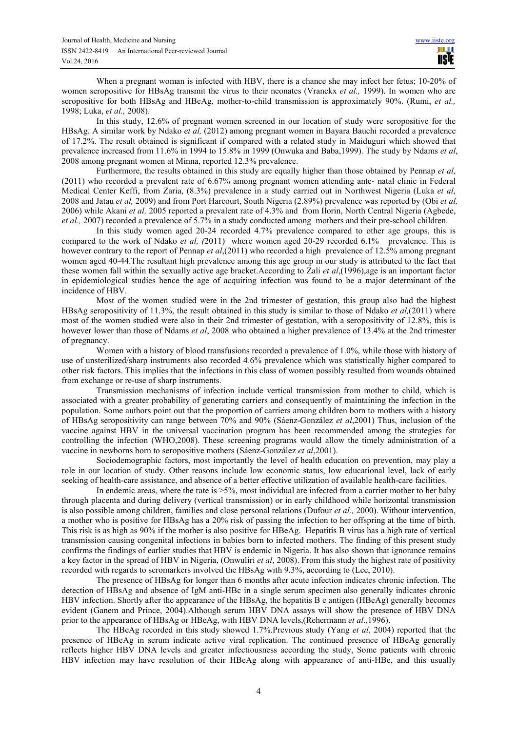When a pregnant woman is infected with HBV, there is a chance she may infect her fetus; 10-20% of women seropositive for HBsAg transmit the virus to their neonates (Vranckx *et al.,* 1999). In women who are seropositive for both HBsAg and HBeAg, mother-to-child transmission is approximately 90%. (Rumi, *et al.,*  1998; Luka, *et al.,* 2008).

In this study, 12.6% of pregnant women screened in our location of study were seropositive for the HBsAg. A similar work by Ndako *et al,* (2012) among pregnant women in Bayara Bauchi recorded a prevalence of 17.2%. The result obtained is significant if compared with a related study in Maiduguri which showed that prevalence increased from 11.6% in 1994 to 15.8% in 1999 (Onwuka and Baba,1999). The study by Ndams *et al*, 2008 among pregnant women at Minna, reported 12.3% prevalence.

Furthermore, the results obtained in this study are equally higher than those obtained by Pennap *et al*, (2011) who recorded a prevalent rate of 6.67% among pregnant women attending ante- natal clinic in Federal Medical Center Keffi, from Zaria, (8.3%) prevalence in a study carried out in Northwest Nigeria (Luka *et al*, 2008 and Jatau *et al,* 2009) and from Port Harcourt, South Nigeria (2.89%) prevalence was reported by (Obi *et al,*  2006) while Akani *et al,* 2005 reported a prevalent rate of 4.3% and from Ilorin, North Central Nigeria (Agbede, *et al.,* 2007) recorded a prevalence of 5.7% in a study conducted among mothers and their pre-school children.

In this study women aged 20-24 recorded 4.7% prevalence compared to other age groups, this is compared to the work of Ndako *et al.* (2011) where women aged 20-29 recorded 6.1% prevalence. This is however contrary to the report of Pennap *et al*,(2011) who recorded a high prevalence of 12.5% among pregnant women aged 40-44.The resultant high prevalence among this age group in our study is attributed to the fact that these women fall within the sexually active age bracket.According to Zali *et al*,(1996),age is an important factor in epidemiological studies hence the age of acquiring infection was found to be a major determinant of the incidence of HBV.

Most of the women studied were in the 2nd trimester of gestation, this group also had the highest HBsAg seropositivity of 11.3%, the result obtained in this study is similar to those of Ndako *et al,*(2011) where most of the women studied were also in their 2nd trimester of gestation, with a seropositivity of 12.8%, this is however lower than those of Ndams *et al*, 2008 who obtained a higher prevalence of 13.4% at the 2nd trimester of pregnancy.

Women with a history of blood transfusions recorded a prevalence of 1.0%, while those with history of use of unsterilized/sharp instruments also recorded 4.6% prevalence which was statistically higher compared to other risk factors. This implies that the infections in this class of women possibly resulted from wounds obtained from exchange or re-use of sharp instruments.

Transmission mechanisms of infection include vertical transmission from mother to child, which is associated with a greater probability of generating carriers and consequently of maintaining the infection in the population. Some authors point out that the proportion of carriers among children born to mothers with a history of HBsAg seropositivity can range between 70% and 90% (Sáenz-González *et al*,2001) Thus, inclusion of the vaccine against HBV in the universal vaccination program has been recommended among the strategies for controlling the infection (WHO,2008). These screening programs would allow the timely administration of a vaccine in newborns born to seropositive mothers (Sáenz-González *et al*,2001).

Sociodemographic factors, most importantly the level of health education on prevention, may play a role in our location of study. Other reasons include low economic status, low educational level, lack of early seeking of health-care assistance, and absence of a better effective utilization of available health-care facilities.

In endemic areas, where the rate is >5%, most individual are infected from a carrier mother to her baby through placenta and during delivery (vertical transmission) or in early childhood while horizontal transmission is also possible among children, families and close personal relations (Dufour *et al.,* 2000). Without intervention, a mother who is positive for HBsAg has a 20% risk of passing the infection to her offspring at the time of birth. This risk is as high as 90% if the mother is also positive for HBeAg. Hepatitis B virus has a high rate of vertical transmission causing congenital infections in babies born to infected mothers. The finding of this present study confirms the findings of earlier studies that HBV is endemic in Nigeria. It has also shown that ignorance remains a key factor in the spread of HBV in Nigeria, (Onwuliri *et al*, 2008). From this study the highest rate of positivity recorded with regards to seromarkers involved the HBsAg with 9.3%, according to (Lee, 2010).

The presence of HBsAg for longer than 6 months after acute infection indicates chronic infection. The detection of HBsAg and absence of IgM anti-HBc in a single serum specimen also generally indicates chronic HBV infection. Shortly after the appearance of the HBsAg, the hepatitis B e antigen (HBeAg) generally becomes evident (Ganem and Prince, 2004).Although serum HBV DNA assays will show the presence of HBV DNA prior to the appearance of HBsAg or HBeAg, with HBV DNA levels,(Rehermann *et al*.,1996).

The HBeAg recorded in this study showed 1.7%.Previous study (Yang *et al*, 2004) reported that the presence of HBeAg in serum indicate active viral replication. The continued presence of HBeAg generally reflects higher HBV DNA levels and greater infectiousness according the study, Some patients with chronic HBV infection may have resolution of their HBeAg along with appearance of anti-HBe, and this usually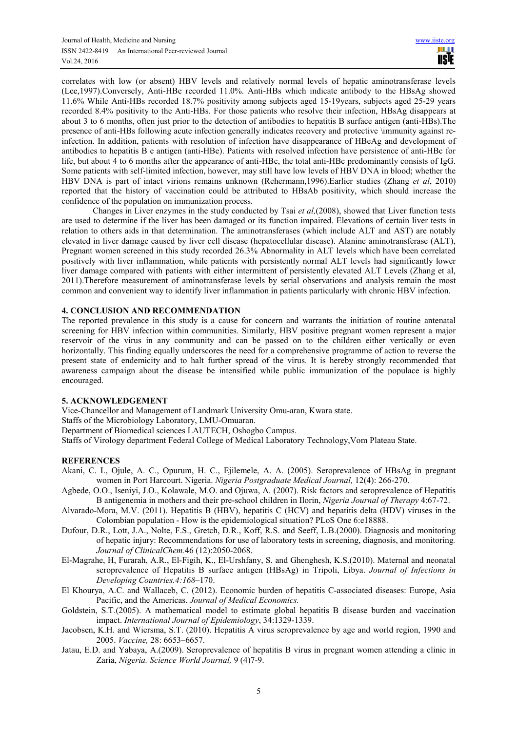correlates with low (or absent) HBV levels and relatively normal levels of hepatic aminotransferase levels (Lee,1997).Conversely, Anti-HBe recorded 11.0%. Anti-HBs which indicate antibody to the HBsAg showed 11.6% While Anti-HBs recorded 18.7% positivity among subjects aged 15-19years, subjects aged 25-29 years recorded 8.4% positivity to the Anti-HBs. For those patients who resolve their infection, HBsAg disappears at about 3 to 6 months, often just prior to the detection of antibodies to hepatitis B surface antigen (anti-HBs).The presence of anti-HBs following acute infection generally indicates recovery and protective \immunity against reinfection. In addition, patients with resolution of infection have disappearance of HBeAg and development of antibodies to hepatitis B e antigen (anti-HBe). Patients with resolved infection have persistence of anti-HBc for life, but about 4 to 6 months after the appearance of anti-HBc, the total anti-HBc predominantly consists of IgG. Some patients with self-limited infection, however, may still have low levels of HBV DNA in blood; whether the HBV DNA is part of intact virions remains unknown (Rehermann,1996).Earlier studies (Zhang *et al*, 2010) reported that the history of vaccination could be attributed to HBsAb positivity, which should increase the confidence of the population on immunization process.

Changes in Liver enzymes in the study conducted by Tsai *et al,*(2008), showed that Liver function tests are used to determine if the liver has been damaged or its function impaired. Elevations of certain liver tests in relation to others aids in that determination. The aminotransferases (which include ALT and AST) are notably elevated in liver damage caused by liver cell disease (hepatocellular disease). Alanine aminotransferase (ALT), Pregnant women screened in this study recorded 26.3% Abnormality in ALT levels which have been correlated positively with liver inflammation, while patients with persistently normal ALT levels had significantly lower liver damage compared with patients with either intermittent of persistently elevated ALT Levels (Zhang et al, 2011).Therefore measurement of aminotransferase levels by serial observations and analysis remain the most common and convenient way to identify liver inflammation in patients particularly with chronic HBV infection.

# **4. CONCLUSION AND RECOMMENDATION**

The reported prevalence in this study is a cause for concern and warrants the initiation of routine antenatal screening for HBV infection within communities. Similarly, HBV positive pregnant women represent a major reservoir of the virus in any community and can be passed on to the children either vertically or even horizontally. This finding equally underscores the need for a comprehensive programme of action to reverse the present state of endemicity and to halt further spread of the virus. It is hereby strongly recommended that awareness campaign about the disease be intensified while public immunization of the populace is highly encouraged.

### **5. ACKNOWLEDGEMENT**

Vice-Chancellor and Management of Landmark University Omu-aran, Kwara state.

Staffs of the Microbiology Laboratory, LMU-Omuaran.

Department of Biomedical sciences LAUTECH, Oshogbo Campus.

Staffs of Virology department Federal College of Medical Laboratory Technology,Vom Plateau State.

### **REFERENCES**

- Akani, C. I., Ojule, A. C., Opurum, H. C., Ejilemele, A. A. (2005). Seroprevalence of HBsAg in pregnant women in Port Harcourt. Nigeria. *Nigeria Postgraduate Medical Journal,* 12(**4**): 266-270.
- Agbede, O.O., Iseniyi, J.O., Kolawale, M.O. and Ojuwa, A. (2007). Risk factors and seroprevalence of Hepatitis B antigenemia in mothers and their pre-school children in Ilorin, *Nigeria Journal of Therapy* 4:67-72.
- Alvarado-Mora, M.V. (2011). Hepatitis B (HBV), hepatitis C (HCV) and hepatitis delta (HDV) viruses in the Colombian population - How is the epidemiological situation? PLoS One 6:e18888.
- Dufour, D.R., Lott, J.A., Nolte, F.S., Gretch, D.R., Koff, R.S. and Seeff, L.B.(2000). Diagnosis and monitoring of hepatic injury: Recommendations for use of laboratory tests in screening, diagnosis, and monitoring*. Journal of ClinicalChem.*46 (12):2050-2068.
- El-Magrahe, H, Furarah, A.R., El-Figih, K., El-Urshfany, S. and Ghenghesh, K.S.(2010). Maternal and neonatal seroprevalence of Hepatitis B surface antigen (HBsAg) in Tripoli, Libya. *Journal of Infections in Developing Countries.4:168*–170.
- El Khourya, A.C. and Wallaceb, C. (2012). Economic burden of hepatitis C-associated diseases: Europe, Asia Pacific, and the Americas. *Journal of Medical Economics.*
- Goldstein, S.T.(2005). A mathematical model to estimate global hepatitis B disease burden and vaccination impact. *International Journal of Epidemiology*, 34:1329-1339.
- Jacobsen, K.H. and Wiersma, S.T. (2010). Hepatitis A virus seroprevalence by age and world region, 1990 and 2005. *Vaccine,* 28: 6653–6657.
- Jatau, E.D. and Yabaya, A.(2009). Seroprevalence of hepatitis B virus in pregnant women attending a clinic in Zaria, *Nigeria. Science World Journal,* 9 (4)7-9.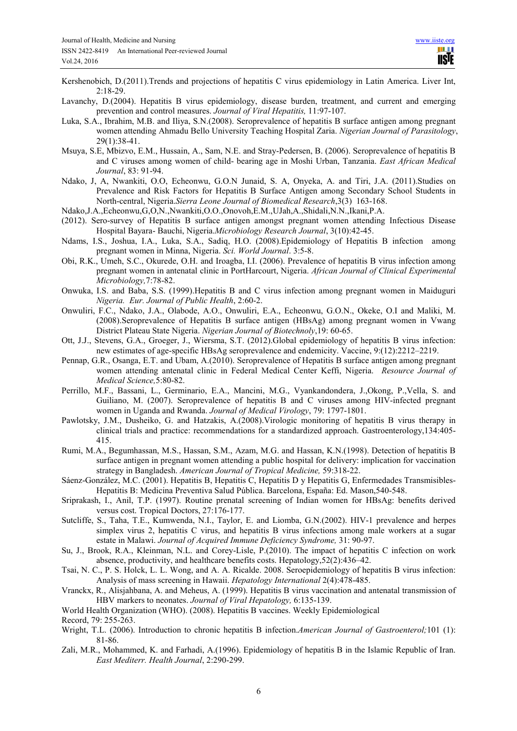- Kershenobich, D.(2011).Trends and projections of hepatitis C virus epidemiology in Latin America. Liver Int, 2:18-29.
- Lavanchy, D.(2004). Hepatitis B virus epidemiology, disease burden, treatment, and current and emerging prevention and control measures. *Journal of Viral Hepatitis,* 11:97-107.
- Luka, S.A., Ibrahim, M.B. and Iliya, S.N.(2008). Seroprevalence of hepatitis B surface antigen among pregnant women attending Ahmadu Bello University Teaching Hospital Zaria. *Nigerian Journal of Parasitology*, 29(1):38-41.
- Msuya, S.E, Mbizvo, E.M., Hussain, A., Sam, N.E. and Stray-Pedersen, B. (2006). Seroprevalence of hepatitis B and C viruses among women of child- bearing age in Moshi Urban, Tanzania. *East African Medical Journal*, 83: 91-94.
- Ndako, J, A, Nwankiti, O.O, Echeonwu, G.O.N Junaid, S. A, Onyeka, A. and Tiri, J.A. (2011).Studies on Prevalence and Risk Factors for Hepatitis B Surface Antigen among Secondary School Students in North-central, Nigeria.*Sierra Leone Journal of Biomedical Research*,3(3) 163-168.
- Ndako,J.A.,Echeonwu,G,O,N.,Nwankiti,O.O.,Onovoh,E.M.,UJah,A.,Shidali,N.N.,Ikani,P.A.
- (2012). Sero-survey of Hepatitis B surface antigen amongst pregnant women attending Infectious Disease Hospital Bayara- Bauchi, Nigeria.*Microbiology Research Journal*, 3(10):42-45.
- Ndams, I.S., Joshua, I.A., Luka, S.A., Sadiq, H.O. (2008).Epidemiology of Hepatitis B infection among pregnant women in Minna, Nigeria. *Sci. World Journal*. 3:5-8.
- Obi, R.K., Umeh, S.C., Okurede, O.H. and Iroagba, I.I. (2006). Prevalence of hepatitis B virus infection among pregnant women in antenatal clinic in PortHarcourt, Nigeria. *African Journal of Clinical Experimental Microbiology,*7:78-82.
- Onwuka, I.S. and Baba, S.S. (1999).Hepatitis B and C virus infection among pregnant women in Maiduguri *Nigeria. Eur. Journal of Public Health*, 2:60-2.
- Onwuliri, F.C., Ndako, J.A., Olabode, A.O., Onwuliri, E.A., Echeonwu, G.O.N., Okeke, O.I and Maliki, M. (2008).Seroprevalence of Hepatitis B surface antigen (HBsAg) among pregnant women in Vwang District Plateau State Nigeria. *Nigerian Journal of Biotechnoly*,19: 60-65.
- Ott, J.J., Stevens, G.A., Groeger, J., Wiersma, S.T. (2012).Global epidemiology of hepatitis B virus infection: new estimates of age-specific HBsAg seroprevalence and endemicity. Vaccine, 9:(12):2212–2219.
- Pennap, G.R., Osanga, E.T. and Ubam, A.(2010). Seroprevalence of Hepatitis B surface antigen among pregnant women attending antenatal clinic in Federal Medical Center Keffi, Nigeria. *Resource Journal of Medical Science,*5:80-82.
- Perrillo, M.F., Bassani, L., Germinario, E.A., Mancini, M.G., Vyankandondera, J.,Okong, P.,Vella, S. and Guiliano, M. (2007). Seroprevalence of hepatitis B and C viruses among HIV-infected pregnant women in Uganda and Rwanda. *Journal of Medical Virology*, 79: 1797-1801.
- Pawlotsky, J.M., Dusheiko, G. and Hatzakis, A.(2008).Virologic monitoring of hepatitis B virus therapy in clinical trials and practice: recommendations for a standardized approach. Gastroenterology,134:405- 415.
- Rumi, M.A., Begumhassan, M.S., Hassan, S.M., Azam, M.G. and Hassan, K.N.(1998). Detection of hepatitis B surface antigen in pregnant women attending a public hospital for delivery: implication for vaccination strategy in Bangladesh. *American Journal of Tropical Medicine,* 59:318-22.
- Sáenz-González, M.C. (2001). Hepatitis B, Hepatitis C, Hepatitis D y Hepatitis G, Enfermedades Transmisibles-Hepatitis B: Medicina Preventiva Salud Pública. Barcelona, España: Ed. Mason,540-548.
- Sriprakash, I., Anil, T.P. (1997). Routine prenatal screening of Indian women for HBsAg: benefits derived versus cost. Tropical Doctors, 27:176-177.
- Sutcliffe, S., Taha, T.E., Kumwenda, N.I., Taylor, E. and Liomba, G.N.(2002). HIV-1 prevalence and herpes simplex virus 2, hepatitis C virus, and hepatitis B virus infections among male workers at a sugar estate in Malawi. *Journal of Acquired Immune Deficiency Syndrome,* 31: 90-97.
- Su, J., Brook, R.A., Kleinman, N.L. and Corey-Lisle, P.(2010). The impact of hepatitis C infection on work absence, productivity, and healthcare benefits costs. Hepatology,52(2):436–42.
- Tsai, N. C., P. S. Holck, L. L. Wong, and A. A. Ricalde. 2008. Seroepidemiology of hepatitis B virus infection: Analysis of mass screening in Hawaii. *Hepatology International* 2(4):478-485.
- Vranckx, R., Alisjahbana, A. and Meheus, A. (1999). Hepatitis B virus vaccination and antenatal transmission of HBV markers to neonates. *Journal of Viral Hepatology,* 6:135-139.

World Health Organization (WHO). (2008). Hepatitis B vaccines. Weekly Epidemiological Record, 79: 255-263.

- Wright, T.L. (2006). Introduction to chronic hepatitis B infection.*American Journal of Gastroenterol;*101 (1): 81-86.
- Zali, M.R., Mohammed, K. and Farhadi, A.(1996). Epidemiology of hepatitis B in the Islamic Republic of Iran. *East Mediterr. Health Journal*, 2:290-299.